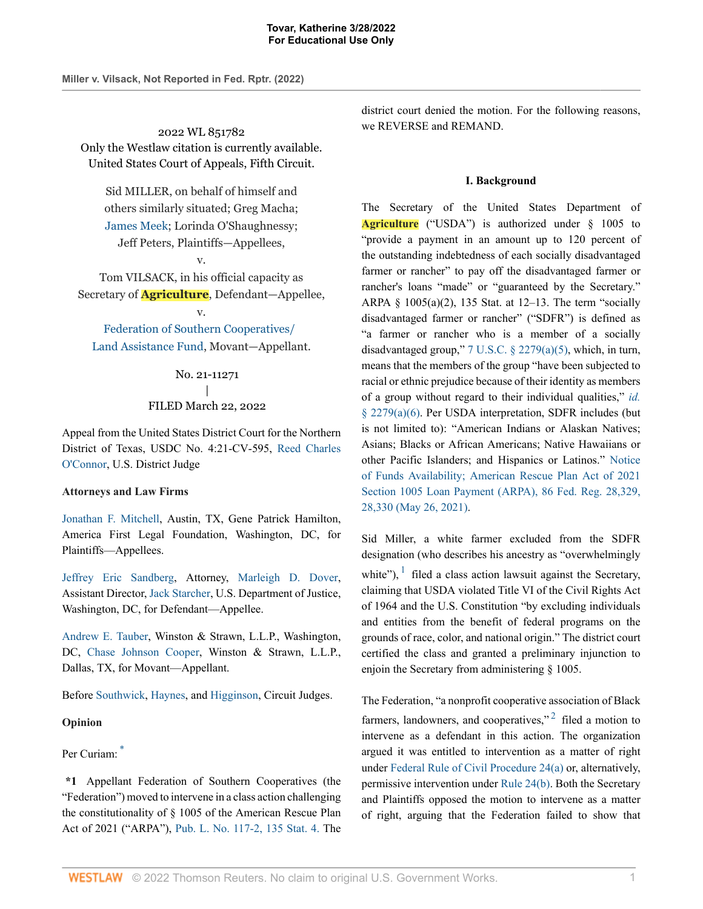**Miller v. Vilsack, Not Reported in Fed. Rptr. (2022)**

2022 WL 851782 Only the Westlaw citation is currently available. United States Court of Appeals, Fifth Circuit.

Sid MILLER, on behalf of himself and others similarly situated; Greg Macha; James Meek; Lorinda O'Shaughnessy; Jeff Peters, Plaintiffs—Appellees,

v. Tom VILSACK, in his official capacity as Secretary of **Agriculture**, Defendant—Appellee,

v.

Federation of Southern Cooperatives/ Land Assistance Fund, Movant—Appellant.

# No. 21-11271 | FILED March 22, 2022

Appeal from the United States District Court for the Northern District of Texas, USDC No. 4:21-CV-595, Reed Charles O'Connor, U.S. District Judge

## **Attorneys and Law Firms**

Jonathan F. Mitchell, Austin, TX, Gene Patrick Hamilton, America First Legal Foundation, Washington, DC, for Plaintiffs—Appellees.

Jeffrey Eric Sandberg, Attorney, Marleigh D. Dover, Assistant Director, Jack Starcher, U.S. Department of Justice, Washington, DC, for Defendant—Appellee.

Andrew E. Tauber, Winston & Strawn, L.L.P., Washington, DC, Chase Johnson Cooper, Winston & Strawn, L.L.P., Dallas, TX, for Movant—Appellant.

Before Southwick, Haynes, and Higginson, Circuit Judges.

### **Opinion**

## Per Curiam: \*

**\*1** Appellant Federation of Southern Cooperatives (the "Federation") moved to intervene in a class action challenging the constitutionality of § 1005 of the American Rescue Plan Act of 2021 ("ARPA"), Pub. L. No. 117-2, 135 Stat. 4. The district court denied the motion. For the following reasons, we REVERSE and REMAND.

### **I. Background**

The Secretary of the United States Department of **Agriculture** ("USDA") is authorized under § 1005 to "provide a payment in an amount up to 120 percent of the outstanding indebtedness of each socially disadvantaged farmer or rancher" to pay off the disadvantaged farmer or rancher's loans "made" or "guaranteed by the Secretary." ARPA § 1005(a)(2), 135 Stat. at 12–13. The term "socially disadvantaged farmer or rancher" ("SDFR") is defined as "a farmer or rancher who is a member of a socially disadvantaged group," 7 U.S.C. § 2279(a)(5), which, in turn, means that the members of the group "have been subjected to racial or ethnic prejudice because of their identity as members of a group without regard to their individual qualities," *id.* § 2279(a)(6). Per USDA interpretation, SDFR includes (but is not limited to): "American Indians or Alaskan Natives; Asians; Blacks or African Americans; Native Hawaiians or other Pacific Islanders; and Hispanics or Latinos." Notice of Funds Availability; American Rescue Plan Act of 2021 Section 1005 Loan Payment (ARPA), 86 Fed. Reg. 28,329, 28,330 (May 26, 2021).

Sid Miller, a white farmer excluded from the SDFR designation (who describes his ancestry as "overwhelmingly white"),  $\frac{1}{1}$  filed a class action lawsuit against the Secretary, claiming that USDA violated Title VI of the Civil Rights Act of 1964 and the U.S. Constitution "by excluding individuals and entities from the benefit of federal programs on the grounds of race, color, and national origin." The district court certified the class and granted a preliminary injunction to enjoin the Secretary from administering § 1005.

The Federation, "a nonprofit cooperative association of Black farmers, landowners, and cooperatives,"<sup>2</sup> filed a motion to intervene as a defendant in this action. The organization argued it was entitled to intervention as a matter of right under Federal Rule of Civil Procedure 24(a) or, alternatively, permissive intervention under Rule 24(b). Both the Secretary and Plaintiffs opposed the motion to intervene as a matter of right, arguing that the Federation failed to show that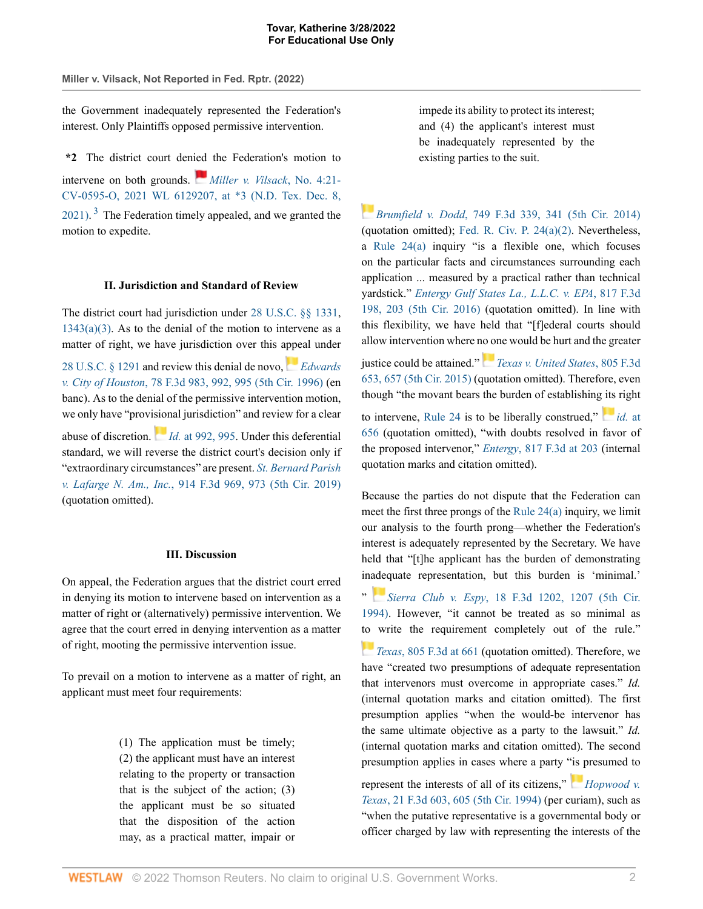**Miller v. Vilsack, Not Reported in Fed. Rptr. (2022)**

the Government inadequately represented the Federation's interest. Only Plaintiffs opposed permissive intervention.

**\*2** The district court denied the Federation's motion to intervene on both grounds. *Miller v. Vilsack*, No. 4:21- CV-0595-O, 2021 WL 6129207, at \*3 (N.D. Tex. Dec. 8,  $2021$ ).<sup>3</sup> The Federation timely appealed, and we granted the motion to expedite.

#### **II. Jurisdiction and Standard of Review**

The district court had jurisdiction under 28 U.S.C. §§ 1331,  $1343(a)(3)$ . As to the denial of the motion to intervene as a matter of right, we have jurisdiction over this appeal under

28 U.S.C. § 1291 and review this denial de novo, *Edwards v. City of Houston*, 78 F.3d 983, 992, 995 (5th Cir. 1996) (en banc). As to the denial of the permissive intervention motion, we only have "provisional jurisdiction" and review for a clear

abuse of discretion. *Id.* at 992, 995. Under this deferential standard, we will reverse the district court's decision only if "extraordinary circumstances" are present. *St. Bernard Parish v. Lafarge N. Am., Inc.*, 914 F.3d 969, 973 (5th Cir. 2019) (quotation omitted).

#### **III. Discussion**

On appeal, the Federation argues that the district court erred in denying its motion to intervene based on intervention as a matter of right or (alternatively) permissive intervention. We agree that the court erred in denying intervention as a matter of right, mooting the permissive intervention issue.

To prevail on a motion to intervene as a matter of right, an applicant must meet four requirements:

> (1) The application must be timely; (2) the applicant must have an interest relating to the property or transaction that is the subject of the action; (3) the applicant must be so situated that the disposition of the action may, as a practical matter, impair or

impede its ability to protect its interest; and (4) the applicant's interest must be inadequately represented by the existing parties to the suit.

*Brumfield v. Dodd*, 749 F.3d 339, 341 (5th Cir. 2014) (quotation omitted); Fed. R. Civ. P. 24(a)(2). Nevertheless, a Rule 24(a) inquiry "is a flexible one, which focuses on the particular facts and circumstances surrounding each application ... measured by a practical rather than technical yardstick." *Entergy Gulf States La., L.L.C. v. EPA*, 817 F.3d 198, 203 (5th Cir. 2016) (quotation omitted). In line with this flexibility, we have held that "[f]ederal courts should allow intervention where no one would be hurt and the greater

justice could be attained." *Texas v. United States*, 805 F.3d 653, 657 (5th Cir. 2015) (quotation omitted). Therefore, even though "the movant bears the burden of establishing its right

to intervene, Rule 24 is to be liberally construed," *id.* at 656 (quotation omitted), "with doubts resolved in favor of the proposed intervenor," *Entergy*, 817 F.3d at 203 (internal quotation marks and citation omitted).

Because the parties do not dispute that the Federation can meet the first three prongs of the Rule 24(a) inquiry, we limit our analysis to the fourth prong—whether the Federation's interest is adequately represented by the Secretary. We have held that "[t]he applicant has the burden of demonstrating inadequate representation, but this burden is 'minimal.'

" *Sierra Club v. Espy*, 18 F.3d 1202, 1207 (5th Cir. 1994). However, "it cannot be treated as so minimal as to write the requirement completely out of the rule."

*Texas*, 805 F.3d at 661 (quotation omitted). Therefore, we have "created two presumptions of adequate representation that intervenors must overcome in appropriate cases." *Id.* (internal quotation marks and citation omitted). The first presumption applies "when the would-be intervenor has the same ultimate objective as a party to the lawsuit." *Id.* (internal quotation marks and citation omitted). The second presumption applies in cases where a party "is presumed to

represent the interests of all of its citizens," *Hopwood v. Texas*, 21 F.3d 603, 605 (5th Cir. 1994) (per curiam), such as "when the putative representative is a governmental body or officer charged by law with representing the interests of the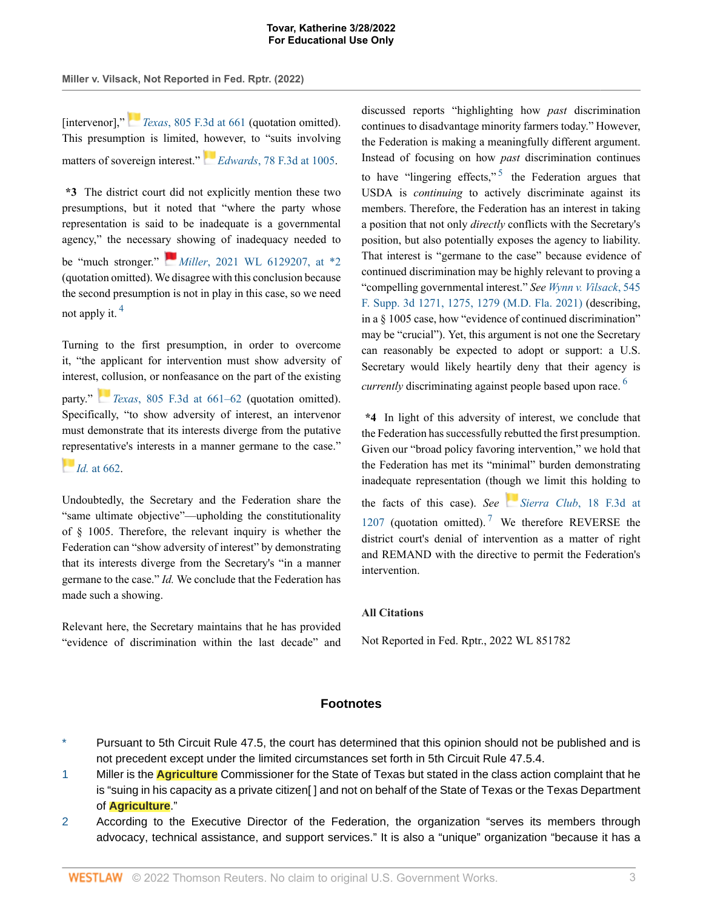**Miller v. Vilsack, Not Reported in Fed. Rptr. (2022)**

[intervenor]," *Texas*, 805 F.3d at 661 (quotation omitted). This presumption is limited, however, to "suits involving matters of sovereign interest." *Edwards*, 78 F.3d at 1005.

**\*3** The district court did not explicitly mention these two presumptions, but it noted that "where the party whose representation is said to be inadequate is a governmental agency," the necessary showing of inadequacy needed to be "much stronger." *Miller*, 2021 WL 6129207, at \*2 (quotation omitted). We disagree with this conclusion because the second presumption is not in play in this case, so we need not apply it.  $4$ 

Turning to the first presumption, in order to overcome it, "the applicant for intervention must show adversity of interest, collusion, or nonfeasance on the part of the existing party." *Texas*, 805 F.3d at 661–62 (quotation omitted). Specifically, "to show adversity of interest, an intervenor must demonstrate that its interests diverge from the putative representative's interests in a manner germane to the case."

*Id.* at 662.

Undoubtedly, the Secretary and the Federation share the "same ultimate objective"—upholding the constitutionality of § 1005. Therefore, the relevant inquiry is whether the Federation can "show adversity of interest" by demonstrating that its interests diverge from the Secretary's "in a manner germane to the case." *Id.* We conclude that the Federation has made such a showing.

Relevant here, the Secretary maintains that he has provided "evidence of discrimination within the last decade" and discussed reports "highlighting how *past* discrimination continues to disadvantage minority farmers today." However, the Federation is making a meaningfully different argument. Instead of focusing on how *past* discrimination continues to have "lingering effects,"  $5$  the Federation argues that USDA is *continuing* to actively discriminate against its members. Therefore, the Federation has an interest in taking a position that not only *directly* conflicts with the Secretary's position, but also potentially exposes the agency to liability. That interest is "germane to the case" because evidence of continued discrimination may be highly relevant to proving a "compelling governmental interest." *See Wynn v. Vilsack*, 545 F. Supp. 3d 1271, 1275, 1279 (M.D. Fla. 2021) (describing, in a § 1005 case, how "evidence of continued discrimination" may be "crucial"). Yet, this argument is not one the Secretary can reasonably be expected to adopt or support: a U.S. Secretary would likely heartily deny that their agency is *currently* discriminating against people based upon race.<sup>6</sup>

**\*4** In light of this adversity of interest, we conclude that the Federation has successfully rebutted the first presumption. Given our "broad policy favoring intervention," we hold that the Federation has met its "minimal" burden demonstrating inadequate representation (though we limit this holding to the facts of this case). *See Sierra Club*, 18 F.3d at 1207 (quotation omitted).<sup>7</sup> We therefore REVERSE the district court's denial of intervention as a matter of right and REMAND with the directive to permit the Federation's intervention.

## **All Citations**

Not Reported in Fed. Rptr., 2022 WL 851782

### **Footnotes**

- Pursuant to 5th Circuit Rule 47.5, the court has determined that this opinion should not be published and is not precedent except under the limited circumstances set forth in 5th Circuit Rule 47.5.4.
- 1 Miller is the **Agriculture** Commissioner for the State of Texas but stated in the class action complaint that he is "suing in his capacity as a private citizen[] and not on behalf of the State of Texas or the Texas Department of **Agriculture**."
- 2 According to the Executive Director of the Federation, the organization "serves its members through advocacy, technical assistance, and support services." It is also a "unique" organization "because it has a